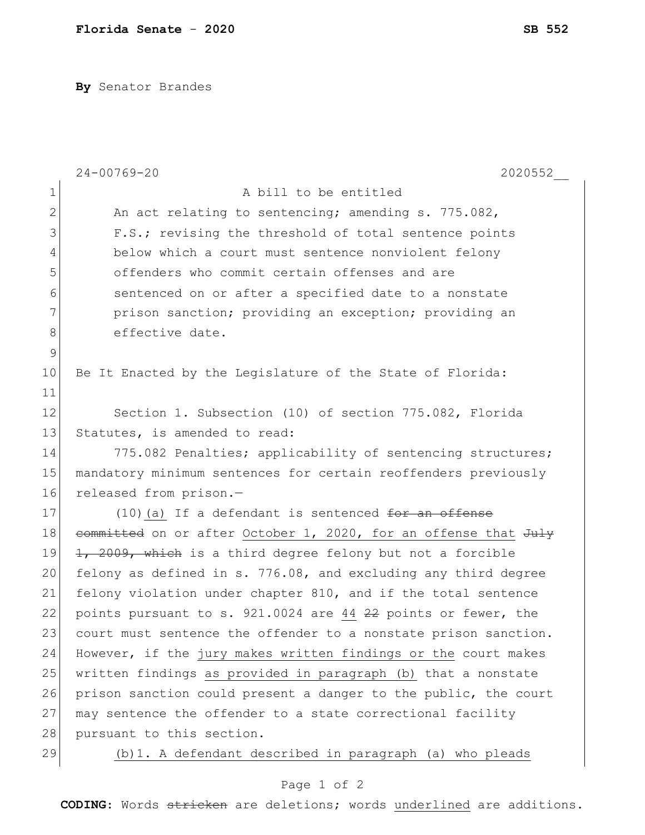**By** Senator Brandes

|              | $24 - 00769 - 20$<br>2020552                                    |
|--------------|-----------------------------------------------------------------|
| $\mathbf 1$  | A bill to be entitled                                           |
| $\mathbf{2}$ | An act relating to sentencing; amending s. 775.082,             |
| 3            | F.S.; revising the threshold of total sentence points           |
| 4            | below which a court must sentence nonviolent felony             |
| 5            | offenders who commit certain offenses and are                   |
| 6            | sentenced on or after a specified date to a nonstate            |
| 7            | prison sanction; providing an exception; providing an           |
| 8            | effective date.                                                 |
| $\mathsf 9$  |                                                                 |
| 10           | Be It Enacted by the Legislature of the State of Florida:       |
| 11           |                                                                 |
| 12           | Section 1. Subsection (10) of section 775.082, Florida          |
| 13           | Statutes, is amended to read:                                   |
| 14           | 775.082 Penalties; applicability of sentencing structures;      |
| 15           | mandatory minimum sentences for certain reoffenders previously  |
| 16           | released from prison.-                                          |
| 17           | $(10)$ (a) If a defendant is sentenced for an offense           |
| 18           | committed on or after October 1, 2020, for an offense that July |
| 19           | 1, 2009, which is a third degree felony but not a forcible      |
| 20           | felony as defined in s. 776.08, and excluding any third degree  |
| 21           | felony violation under chapter 810, and if the total sentence   |
| 22           | points pursuant to s. 921.0024 are 44 22 points or fewer, the   |
| 23           | court must sentence the offender to a nonstate prison sanction. |
| 24           | However, if the jury makes written findings or the court makes  |
| 25           | written findings as provided in paragraph (b) that a nonstate   |
| 26           | prison sanction could present a danger to the public, the court |
| 27           | may sentence the offender to a state correctional facility      |
| 28           | pursuant to this section.                                       |
| 29           | (b) 1. A defendant described in paragraph (a) who pleads        |

## Page 1 of 2

**CODING**: Words stricken are deletions; words underlined are additions.